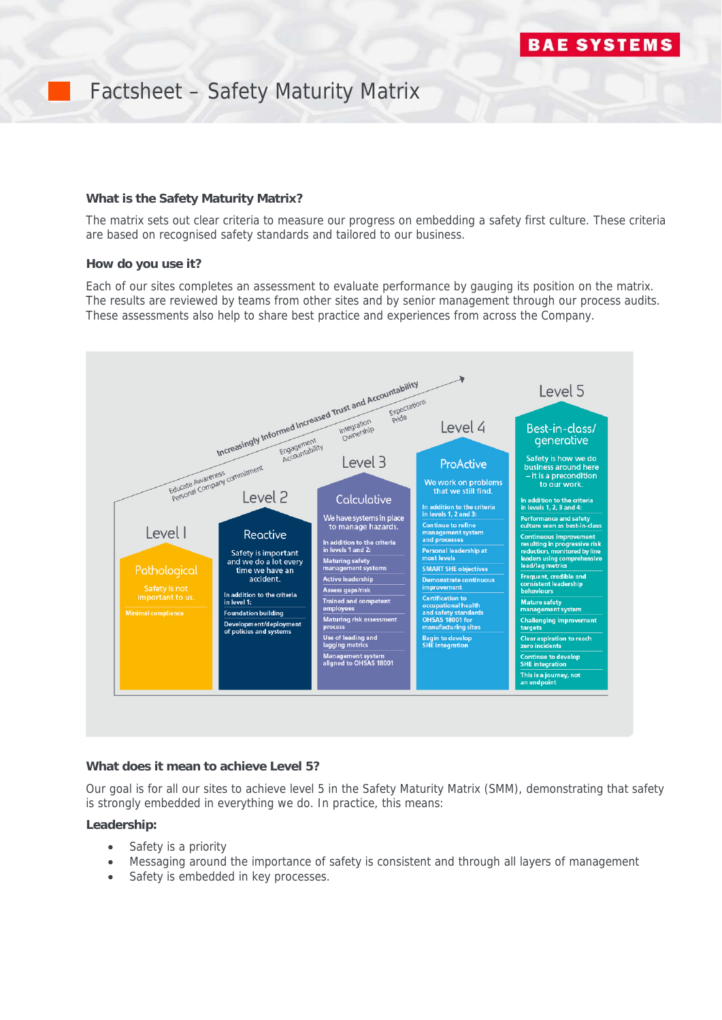# Factsheet – Safety Maturity Matrix

### **What is the Safety Maturity Matrix?**

The matrix sets out clear criteria to measure our progress on embedding a safety first culture. These criteria are based on recognised safety standards and tailored to our business.

#### **How do you use it?**

Each of our sites completes an assessment to evaluate performance by gauging its position on the matrix. The results are reviewed by teams from other sites and by senior management through our process audits. These assessments also help to share best practice and experiences from across the Company.



#### **What does it mean to achieve Level 5?**

Our goal is for all our sites to achieve level 5 in the Safety Maturity Matrix (SMM), demonstrating that safety is strongly embedded in everything we do. In practice, this means:

### **Leadership:**

- Safety is a priority
- Messaging around the importance of safety is consistent and through all layers of management
- Safety is embedded in key processes.